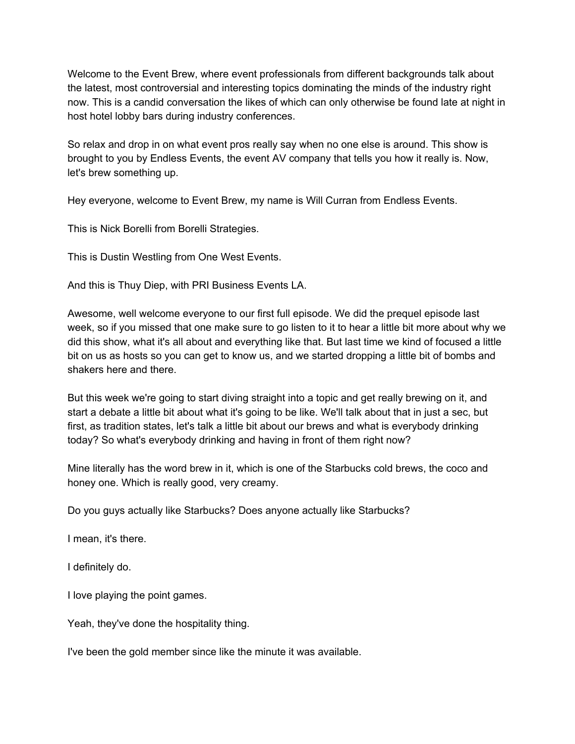Welcome to the Event Brew, where event professionals from different backgrounds talk about the latest, most controversial and interesting topics dominating the minds of the industry right now. This is a candid conversation the likes of which can only otherwise be found late at night in host hotel lobby bars during industry conferences.

So relax and drop in on what event pros really say when no one else is around. This show is brought to you by Endless Events, the event AV company that tells you how it really is. Now, let's brew something up.

Hey everyone, welcome to Event Brew, my name is Will Curran from Endless Events.

This is Nick Borelli from Borelli Strategies.

This is Dustin Westling from One West Events.

And this is Thuy Diep, with PRI Business Events LA.

Awesome, well welcome everyone to our first full episode. We did the prequel episode last week, so if you missed that one make sure to go listen to it to hear a little bit more about why we did this show, what it's all about and everything like that. But last time we kind of focused a little bit on us as hosts so you can get to know us, and we started dropping a little bit of bombs and shakers here and there.

But this week we're going to start diving straight into a topic and get really brewing on it, and start a debate a little bit about what it's going to be like. We'll talk about that in just a sec, but first, as tradition states, let's talk a little bit about our brews and what is everybody drinking today? So what's everybody drinking and having in front of them right now?

Mine literally has the word brew in it, which is one of the Starbucks cold brews, the coco and honey one. Which is really good, very creamy.

Do you guys actually like Starbucks? Does anyone actually like Starbucks?

I mean, it's there.

I definitely do.

I love playing the point games.

Yeah, they've done the hospitality thing.

I've been the gold member since like the minute it was available.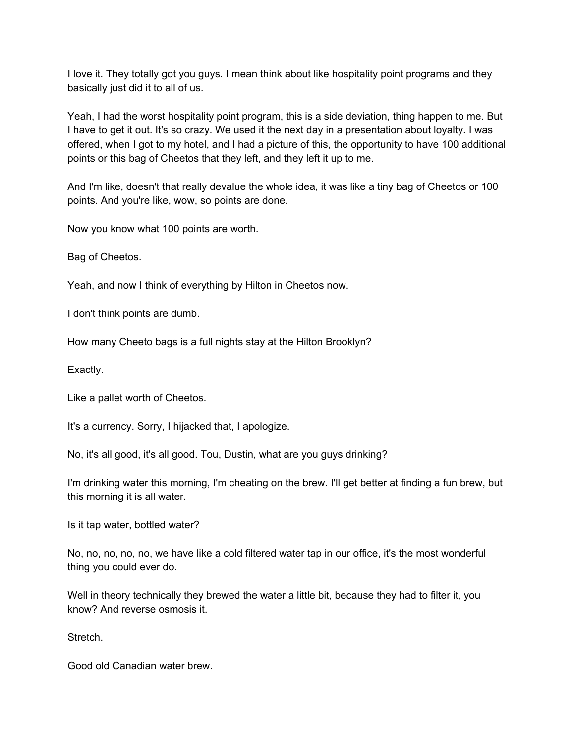I love it. They totally got you guys. I mean think about like hospitality point programs and they basically just did it to all of us.

Yeah, I had the worst hospitality point program, this is a side deviation, thing happen to me. But I have to get it out. It's so crazy. We used it the next day in a presentation about loyalty. I was offered, when I got to my hotel, and I had a picture of this, the opportunity to have 100 additional points or this bag of Cheetos that they left, and they left it up to me.

And I'm like, doesn't that really devalue the whole idea, it was like a tiny bag of Cheetos or 100 points. And you're like, wow, so points are done.

Now you know what 100 points are worth.

Bag of Cheetos.

Yeah, and now I think of everything by Hilton in Cheetos now.

I don't think points are dumb.

How many Cheeto bags is a full nights stay at the Hilton Brooklyn?

Exactly.

Like a pallet worth of Cheetos.

It's a currency. Sorry, I hijacked that, I apologize.

No, it's all good, it's all good. Tou, Dustin, what are you guys drinking?

I'm drinking water this morning, I'm cheating on the brew. I'll get better at finding a fun brew, but this morning it is all water.

Is it tap water, bottled water?

No, no, no, no, no, we have like a cold filtered water tap in our office, it's the most wonderful thing you could ever do.

Well in theory technically they brewed the water a little bit, because they had to filter it, you know? And reverse osmosis it.

Stretch.

Good old Canadian water brew.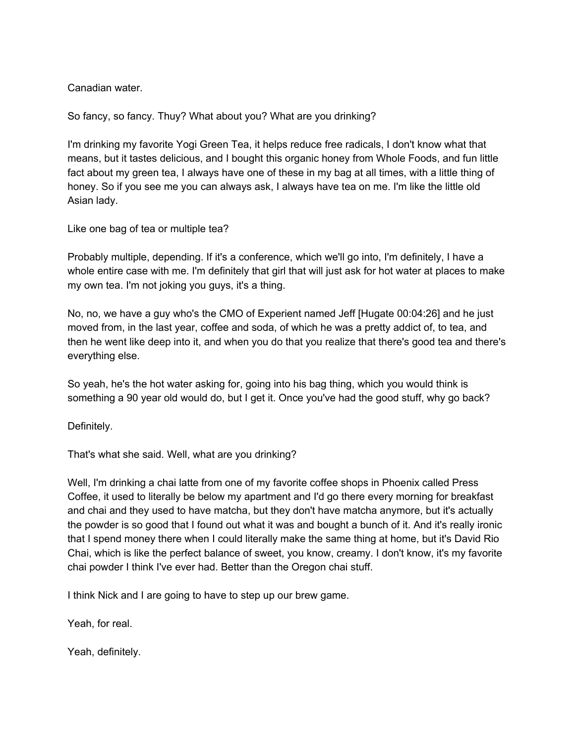Canadian water.

So fancy, so fancy. Thuy? What about you? What are you drinking?

I'm drinking my favorite Yogi Green Tea, it helps reduce free radicals, I don't know what that means, but it tastes delicious, and I bought this organic honey from Whole Foods, and fun little fact about my green tea, I always have one of these in my bag at all times, with a little thing of honey. So if you see me you can always ask, I always have tea on me. I'm like the little old Asian lady.

Like one bag of tea or multiple tea?

Probably multiple, depending. If it's a conference, which we'll go into, I'm definitely, I have a whole entire case with me. I'm definitely that girl that will just ask for hot water at places to make my own tea. I'm not joking you guys, it's a thing.

No, no, we have a guy who's the CMO of Experient named Jeff [Hugate 00:04:26] and he just moved from, in the last year, coffee and soda, of which he was a pretty addict of, to tea, and then he went like deep into it, and when you do that you realize that there's good tea and there's everything else.

So yeah, he's the hot water asking for, going into his bag thing, which you would think is something a 90 year old would do, but I get it. Once you've had the good stuff, why go back?

Definitely.

That's what she said. Well, what are you drinking?

Well, I'm drinking a chai latte from one of my favorite coffee shops in Phoenix called Press Coffee, it used to literally be below my apartment and I'd go there every morning for breakfast and chai and they used to have matcha, but they don't have matcha anymore, but it's actually the powder is so good that I found out what it was and bought a bunch of it. And it's really ironic that I spend money there when I could literally make the same thing at home, but it's David Rio Chai, which is like the perfect balance of sweet, you know, creamy. I don't know, it's my favorite chai powder I think I've ever had. Better than the Oregon chai stuff.

I think Nick and I are going to have to step up our brew game.

Yeah, for real.

Yeah, definitely.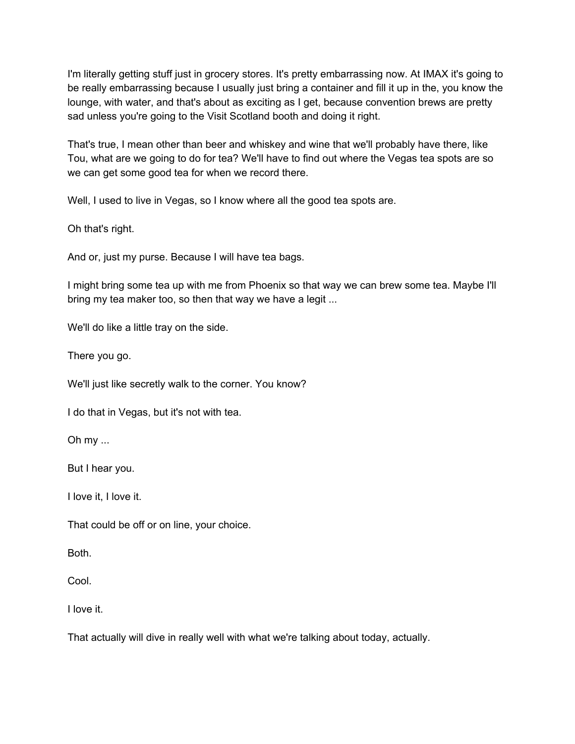I'm literally getting stuff just in grocery stores. It's pretty embarrassing now. At IMAX it's going to be really embarrassing because I usually just bring a container and fill it up in the, you know the lounge, with water, and that's about as exciting as I get, because convention brews are pretty sad unless you're going to the Visit Scotland booth and doing it right.

That's true, I mean other than beer and whiskey and wine that we'll probably have there, like Tou, what are we going to do for tea? We'll have to find out where the Vegas tea spots are so we can get some good tea for when we record there.

Well, I used to live in Vegas, so I know where all the good tea spots are.

Oh that's right.

And or, just my purse. Because I will have tea bags.

I might bring some tea up with me from Phoenix so that way we can brew some tea. Maybe I'll bring my tea maker too, so then that way we have a legit ...

We'll do like a little tray on the side.

There you go.

We'll just like secretly walk to the corner. You know?

I do that in Vegas, but it's not with tea.

Oh my ...

But I hear you.

I love it, I love it.

That could be off or on line, your choice.

Both.

Cool.

I love it.

That actually will dive in really well with what we're talking about today, actually.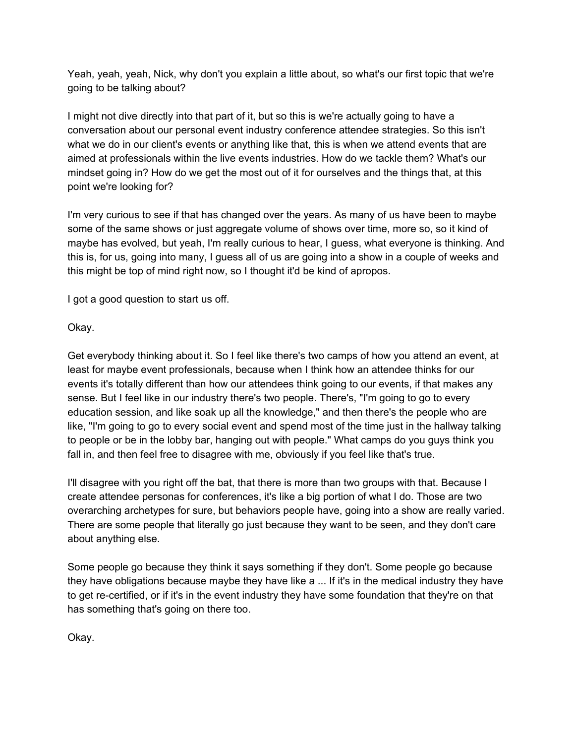Yeah, yeah, yeah, Nick, why don't you explain a little about, so what's our first topic that we're going to be talking about?

I might not dive directly into that part of it, but so this is we're actually going to have a conversation about our personal event industry conference attendee strategies. So this isn't what we do in our client's events or anything like that, this is when we attend events that are aimed at professionals within the live events industries. How do we tackle them? What's our mindset going in? How do we get the most out of it for ourselves and the things that, at this point we're looking for?

I'm very curious to see if that has changed over the years. As many of us have been to maybe some of the same shows or just aggregate volume of shows over time, more so, so it kind of maybe has evolved, but yeah, I'm really curious to hear, I guess, what everyone is thinking. And this is, for us, going into many, I guess all of us are going into a show in a couple of weeks and this might be top of mind right now, so I thought it'd be kind of apropos.

I got a good question to start us off.

Okay.

Get everybody thinking about it. So I feel like there's two camps of how you attend an event, at least for maybe event professionals, because when I think how an attendee thinks for our events it's totally different than how our attendees think going to our events, if that makes any sense. But I feel like in our industry there's two people. There's, "I'm going to go to every education session, and like soak up all the knowledge," and then there's the people who are like, "I'm going to go to every social event and spend most of the time just in the hallway talking to people or be in the lobby bar, hanging out with people." What camps do you guys think you fall in, and then feel free to disagree with me, obviously if you feel like that's true.

I'll disagree with you right off the bat, that there is more than two groups with that. Because I create attendee personas for conferences, it's like a big portion of what I do. Those are two overarching archetypes for sure, but behaviors people have, going into a show are really varied. There are some people that literally go just because they want to be seen, and they don't care about anything else.

Some people go because they think it says something if they don't. Some people go because they have obligations because maybe they have like a ... If it's in the medical industry they have to get re-certified, or if it's in the event industry they have some foundation that they're on that has something that's going on there too.

Okay.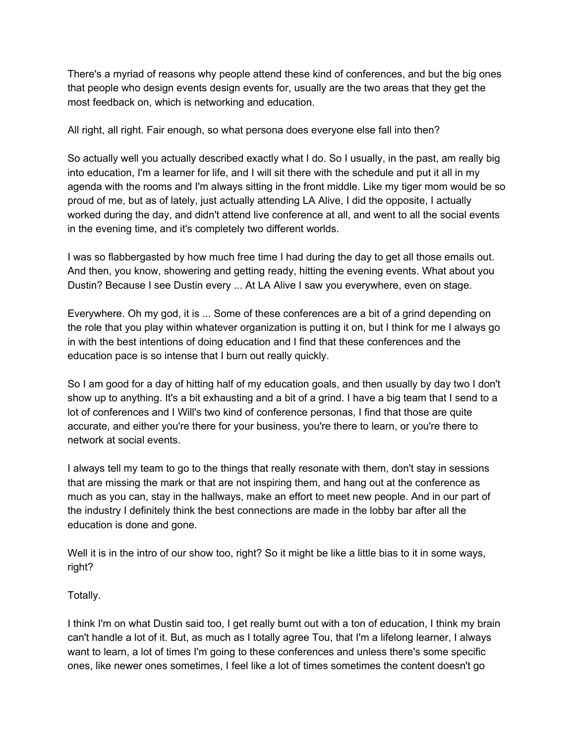There's a myriad of reasons why people attend these kind of conferences, and but the big ones that people who design events design events for, usually are the two areas that they get the most feedback on, which is networking and education.

All right, all right. Fair enough, so what persona does everyone else fall into then?

So actually well you actually described exactly what I do. So I usually, in the past, am really big into education, I'm a learner for life, and I will sit there with the schedule and put it all in my agenda with the rooms and I'm always sitting in the front middle. Like my tiger mom would be so proud of me, but as of lately, just actually attending LA Alive, I did the opposite, I actually worked during the day, and didn't attend live conference at all, and went to all the social events in the evening time, and it's completely two different worlds.

I was so flabbergasted by how much free time I had during the day to get all those emails out. And then, you know, showering and getting ready, hitting the evening events. What about you Dustin? Because I see Dustin every ... At LA Alive I saw you everywhere, even on stage.

Everywhere. Oh my god, it is ... Some of these conferences are a bit of a grind depending on the role that you play within whatever organization is putting it on, but I think for me I always go in with the best intentions of doing education and I find that these conferences and the education pace is so intense that I burn out really quickly.

So I am good for a day of hitting half of my education goals, and then usually by day two I don't show up to anything. It's a bit exhausting and a bit of a grind. I have a big team that I send to a lot of conferences and I Will's two kind of conference personas, I find that those are quite accurate, and either you're there for your business, you're there to learn, or you're there to network at social events.

I always tell my team to go to the things that really resonate with them, don't stay in sessions that are missing the mark or that are not inspiring them, and hang out at the conference as much as you can, stay in the hallways, make an effort to meet new people. And in our part of the industry I definitely think the best connections are made in the lobby bar after all the education is done and gone.

Well it is in the intro of our show too, right? So it might be like a little bias to it in some ways, right?

Totally.

I think I'm on what Dustin said too, I get really burnt out with a ton of education, I think my brain can't handle a lot of it. But, as much as I totally agree Tou, that I'm a lifelong learner, I always want to learn, a lot of times I'm going to these conferences and unless there's some specific ones, like newer ones sometimes, I feel like a lot of times sometimes the content doesn't go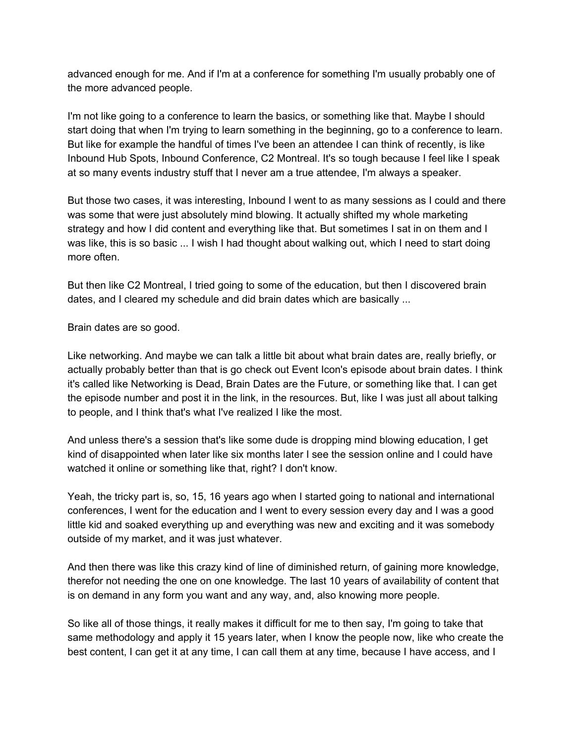advanced enough for me. And if I'm at a conference for something I'm usually probably one of the more advanced people.

I'm not like going to a conference to learn the basics, or something like that. Maybe I should start doing that when I'm trying to learn something in the beginning, go to a conference to learn. But like for example the handful of times I've been an attendee I can think of recently, is like Inbound Hub Spots, Inbound Conference, C2 Montreal. It's so tough because I feel like I speak at so many events industry stuff that I never am a true attendee, I'm always a speaker.

But those two cases, it was interesting, Inbound I went to as many sessions as I could and there was some that were just absolutely mind blowing. It actually shifted my whole marketing strategy and how I did content and everything like that. But sometimes I sat in on them and I was like, this is so basic ... I wish I had thought about walking out, which I need to start doing more often.

But then like C2 Montreal, I tried going to some of the education, but then I discovered brain dates, and I cleared my schedule and did brain dates which are basically ...

Brain dates are so good.

Like networking. And maybe we can talk a little bit about what brain dates are, really briefly, or actually probably better than that is go check out Event Icon's episode about brain dates. I think it's called like Networking is Dead, Brain Dates are the Future, or something like that. I can get the episode number and post it in the link, in the resources. But, like I was just all about talking to people, and I think that's what I've realized I like the most.

And unless there's a session that's like some dude is dropping mind blowing education, I get kind of disappointed when later like six months later I see the session online and I could have watched it online or something like that, right? I don't know.

Yeah, the tricky part is, so, 15, 16 years ago when I started going to national and international conferences, I went for the education and I went to every session every day and I was a good little kid and soaked everything up and everything was new and exciting and it was somebody outside of my market, and it was just whatever.

And then there was like this crazy kind of line of diminished return, of gaining more knowledge, therefor not needing the one on one knowledge. The last 10 years of availability of content that is on demand in any form you want and any way, and, also knowing more people.

So like all of those things, it really makes it difficult for me to then say, I'm going to take that same methodology and apply it 15 years later, when I know the people now, like who create the best content, I can get it at any time, I can call them at any time, because I have access, and I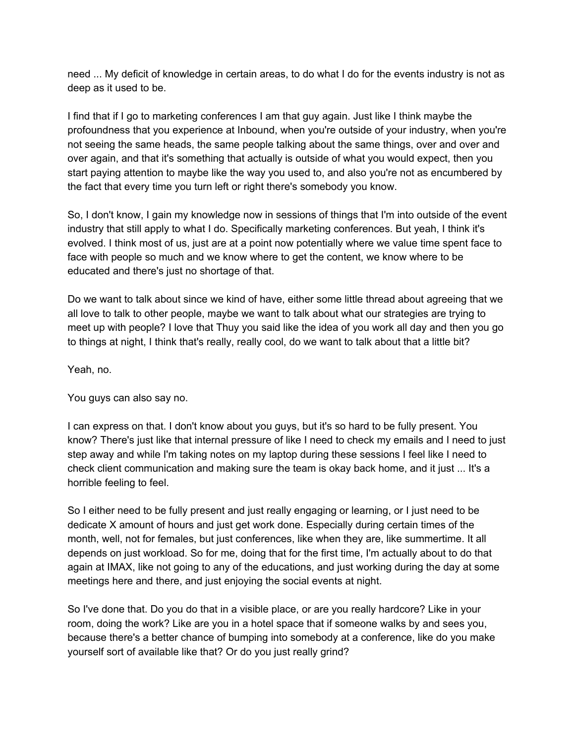need ... My deficit of knowledge in certain areas, to do what I do for the events industry is not as deep as it used to be.

I find that if I go to marketing conferences I am that guy again. Just like I think maybe the profoundness that you experience at Inbound, when you're outside of your industry, when you're not seeing the same heads, the same people talking about the same things, over and over and over again, and that it's something that actually is outside of what you would expect, then you start paying attention to maybe like the way you used to, and also you're not as encumbered by the fact that every time you turn left or right there's somebody you know.

So, I don't know, I gain my knowledge now in sessions of things that I'm into outside of the event industry that still apply to what I do. Specifically marketing conferences. But yeah, I think it's evolved. I think most of us, just are at a point now potentially where we value time spent face to face with people so much and we know where to get the content, we know where to be educated and there's just no shortage of that.

Do we want to talk about since we kind of have, either some little thread about agreeing that we all love to talk to other people, maybe we want to talk about what our strategies are trying to meet up with people? I love that Thuy you said like the idea of you work all day and then you go to things at night, I think that's really, really cool, do we want to talk about that a little bit?

Yeah, no.

You guys can also say no.

I can express on that. I don't know about you guys, but it's so hard to be fully present. You know? There's just like that internal pressure of like I need to check my emails and I need to just step away and while I'm taking notes on my laptop during these sessions I feel like I need to check client communication and making sure the team is okay back home, and it just ... It's a horrible feeling to feel.

So I either need to be fully present and just really engaging or learning, or I just need to be dedicate X amount of hours and just get work done. Especially during certain times of the month, well, not for females, but just conferences, like when they are, like summertime. It all depends on just workload. So for me, doing that for the first time, I'm actually about to do that again at IMAX, like not going to any of the educations, and just working during the day at some meetings here and there, and just enjoying the social events at night.

So I've done that. Do you do that in a visible place, or are you really hardcore? Like in your room, doing the work? Like are you in a hotel space that if someone walks by and sees you, because there's a better chance of bumping into somebody at a conference, like do you make yourself sort of available like that? Or do you just really grind?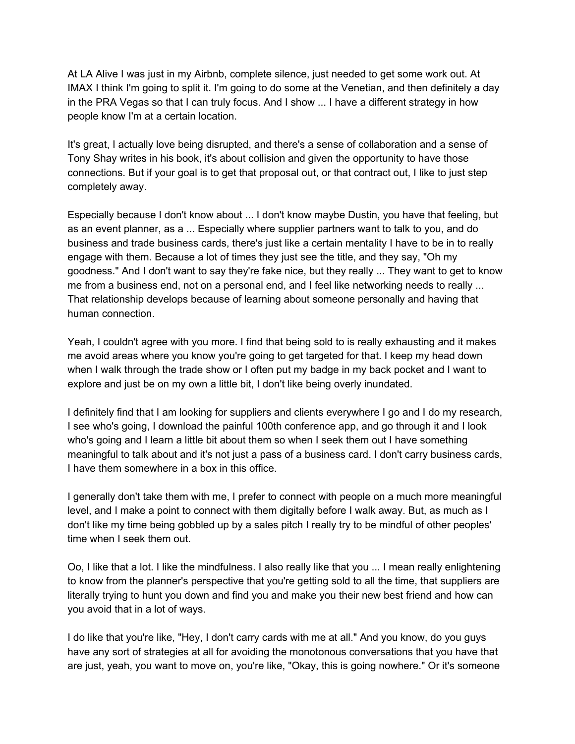At LA Alive I was just in my Airbnb, complete silence, just needed to get some work out. At IMAX I think I'm going to split it. I'm going to do some at the Venetian, and then definitely a day in the PRA Vegas so that I can truly focus. And I show ... I have a different strategy in how people know I'm at a certain location.

It's great, I actually love being disrupted, and there's a sense of collaboration and a sense of Tony Shay writes in his book, it's about collision and given the opportunity to have those connections. But if your goal is to get that proposal out, or that contract out, I like to just step completely away.

Especially because I don't know about ... I don't know maybe Dustin, you have that feeling, but as an event planner, as a ... Especially where supplier partners want to talk to you, and do business and trade business cards, there's just like a certain mentality I have to be in to really engage with them. Because a lot of times they just see the title, and they say, "Oh my goodness." And I don't want to say they're fake nice, but they really ... They want to get to know me from a business end, not on a personal end, and I feel like networking needs to really ... That relationship develops because of learning about someone personally and having that human connection.

Yeah, I couldn't agree with you more. I find that being sold to is really exhausting and it makes me avoid areas where you know you're going to get targeted for that. I keep my head down when I walk through the trade show or I often put my badge in my back pocket and I want to explore and just be on my own a little bit, I don't like being overly inundated.

I definitely find that I am looking for suppliers and clients everywhere I go and I do my research, I see who's going, I download the painful 100th conference app, and go through it and I look who's going and I learn a little bit about them so when I seek them out I have something meaningful to talk about and it's not just a pass of a business card. I don't carry business cards, I have them somewhere in a box in this office.

I generally don't take them with me, I prefer to connect with people on a much more meaningful level, and I make a point to connect with them digitally before I walk away. But, as much as I don't like my time being gobbled up by a sales pitch I really try to be mindful of other peoples' time when I seek them out.

Oo, I like that a lot. I like the mindfulness. I also really like that you ... I mean really enlightening to know from the planner's perspective that you're getting sold to all the time, that suppliers are literally trying to hunt you down and find you and make you their new best friend and how can you avoid that in a lot of ways.

I do like that you're like, "Hey, I don't carry cards with me at all." And you know, do you guys have any sort of strategies at all for avoiding the monotonous conversations that you have that are just, yeah, you want to move on, you're like, "Okay, this is going nowhere." Or it's someone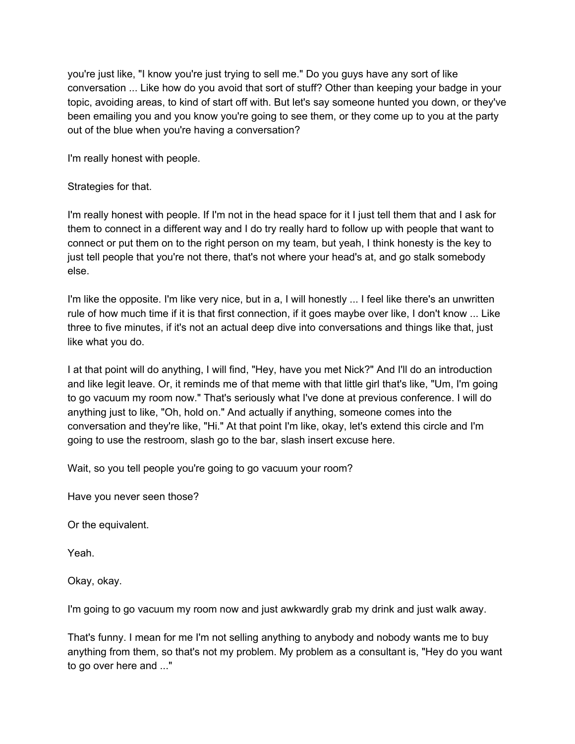you're just like, "I know you're just trying to sell me." Do you guys have any sort of like conversation ... Like how do you avoid that sort of stuff? Other than keeping your badge in your topic, avoiding areas, to kind of start off with. But let's say someone hunted you down, or they've been emailing you and you know you're going to see them, or they come up to you at the party out of the blue when you're having a conversation?

I'm really honest with people.

# Strategies for that.

I'm really honest with people. If I'm not in the head space for it I just tell them that and I ask for them to connect in a different way and I do try really hard to follow up with people that want to connect or put them on to the right person on my team, but yeah, I think honesty is the key to just tell people that you're not there, that's not where your head's at, and go stalk somebody else.

I'm like the opposite. I'm like very nice, but in a, I will honestly ... I feel like there's an unwritten rule of how much time if it is that first connection, if it goes maybe over like, I don't know ... Like three to five minutes, if it's not an actual deep dive into conversations and things like that, just like what you do.

I at that point will do anything, I will find, "Hey, have you met Nick?" And I'll do an introduction and like legit leave. Or, it reminds me of that meme with that little girl that's like, "Um, I'm going to go vacuum my room now." That's seriously what I've done at previous conference. I will do anything just to like, "Oh, hold on." And actually if anything, someone comes into the conversation and they're like, "Hi." At that point I'm like, okay, let's extend this circle and I'm going to use the restroom, slash go to the bar, slash insert excuse here.

Wait, so you tell people you're going to go vacuum your room?

Have you never seen those?

Or the equivalent.

Yeah.

Okay, okay.

I'm going to go vacuum my room now and just awkwardly grab my drink and just walk away.

That's funny. I mean for me I'm not selling anything to anybody and nobody wants me to buy anything from them, so that's not my problem. My problem as a consultant is, "Hey do you want to go over here and ..."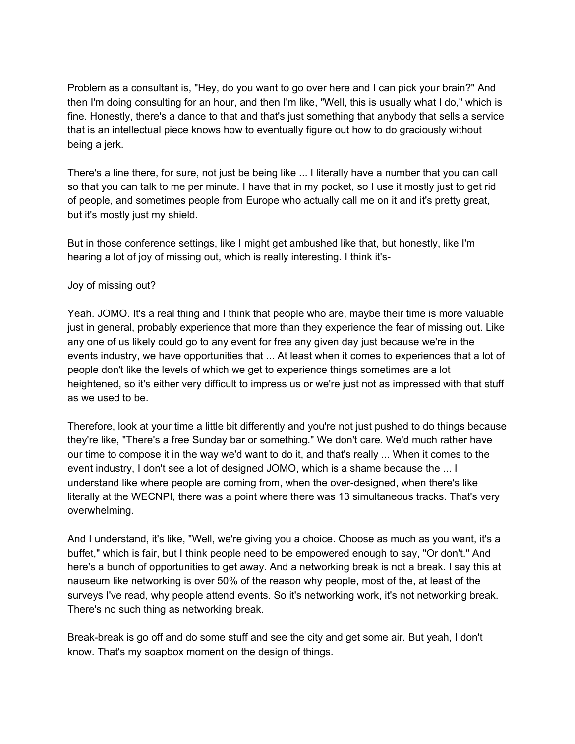Problem as a consultant is, "Hey, do you want to go over here and I can pick your brain?" And then I'm doing consulting for an hour, and then I'm like, "Well, this is usually what I do," which is fine. Honestly, there's a dance to that and that's just something that anybody that sells a service that is an intellectual piece knows how to eventually figure out how to do graciously without being a jerk.

There's a line there, for sure, not just be being like ... I literally have a number that you can call so that you can talk to me per minute. I have that in my pocket, so I use it mostly just to get rid of people, and sometimes people from Europe who actually call me on it and it's pretty great, but it's mostly just my shield.

But in those conference settings, like I might get ambushed like that, but honestly, like I'm hearing a lot of joy of missing out, which is really interesting. I think it's-

### Joy of missing out?

Yeah. JOMO. It's a real thing and I think that people who are, maybe their time is more valuable just in general, probably experience that more than they experience the fear of missing out. Like any one of us likely could go to any event for free any given day just because we're in the events industry, we have opportunities that ... At least when it comes to experiences that a lot of people don't like the levels of which we get to experience things sometimes are a lot heightened, so it's either very difficult to impress us or we're just not as impressed with that stuff as we used to be.

Therefore, look at your time a little bit differently and you're not just pushed to do things because they're like, "There's a free Sunday bar or something." We don't care. We'd much rather have our time to compose it in the way we'd want to do it, and that's really ... When it comes to the event industry, I don't see a lot of designed JOMO, which is a shame because the ... I understand like where people are coming from, when the over-designed, when there's like literally at the WECNPI, there was a point where there was 13 simultaneous tracks. That's very overwhelming.

And I understand, it's like, "Well, we're giving you a choice. Choose as much as you want, it's a buffet," which is fair, but I think people need to be empowered enough to say, "Or don't." And here's a bunch of opportunities to get away. And a networking break is not a break. I say this at nauseum like networking is over 50% of the reason why people, most of the, at least of the surveys I've read, why people attend events. So it's networking work, it's not networking break. There's no such thing as networking break.

Break-break is go off and do some stuff and see the city and get some air. But yeah, I don't know. That's my soapbox moment on the design of things.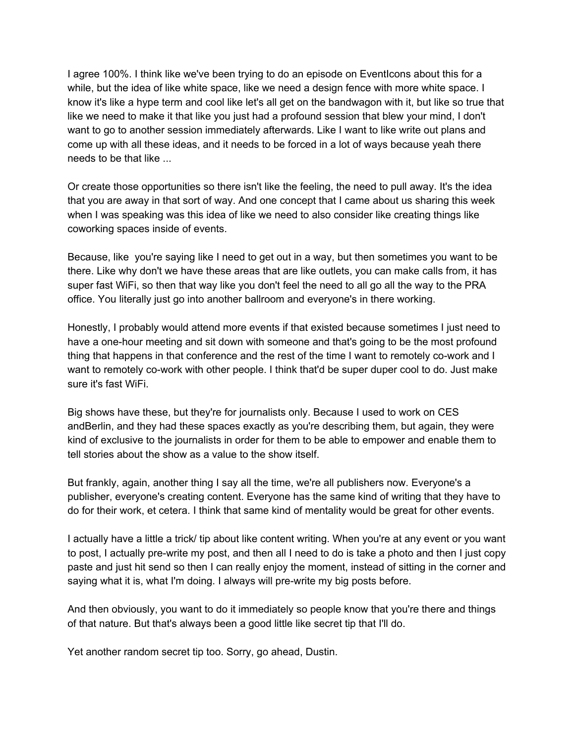I agree 100%. I think like we've been trying to do an episode on EventIcons about this for a while, but the idea of like white space, like we need a design fence with more white space. I know it's like a hype term and cool like let's all get on the bandwagon with it, but like so true that like we need to make it that like you just had a profound session that blew your mind, I don't want to go to another session immediately afterwards. Like I want to like write out plans and come up with all these ideas, and it needs to be forced in a lot of ways because yeah there needs to be that like ...

Or create those opportunities so there isn't like the feeling, the need to pull away. It's the idea that you are away in that sort of way. And one concept that I came about us sharing this week when I was speaking was this idea of like we need to also consider like creating things like coworking spaces inside of events.

Because, like you're saying like I need to get out in a way, but then sometimes you want to be there. Like why don't we have these areas that are like outlets, you can make calls from, it has super fast WiFi, so then that way like you don't feel the need to all go all the way to the PRA office. You literally just go into another ballroom and everyone's in there working.

Honestly, I probably would attend more events if that existed because sometimes I just need to have a one-hour meeting and sit down with someone and that's going to be the most profound thing that happens in that conference and the rest of the time I want to remotely co-work and I want to remotely co-work with other people. I think that'd be super duper cool to do. Just make sure it's fast WiFi.

Big shows have these, but they're for journalists only. Because I used to work on CES andBerlin, and they had these spaces exactly as you're describing them, but again, they were kind of exclusive to the journalists in order for them to be able to empower and enable them to tell stories about the show as a value to the show itself.

But frankly, again, another thing I say all the time, we're all publishers now. Everyone's a publisher, everyone's creating content. Everyone has the same kind of writing that they have to do for their work, et cetera. I think that same kind of mentality would be great for other events.

I actually have a little a trick/ tip about like content writing. When you're at any event or you want to post, I actually pre-write my post, and then all I need to do is take a photo and then I just copy paste and just hit send so then I can really enjoy the moment, instead of sitting in the corner and saying what it is, what I'm doing. I always will pre-write my big posts before.

And then obviously, you want to do it immediately so people know that you're there and things of that nature. But that's always been a good little like secret tip that I'll do.

Yet another random secret tip too. Sorry, go ahead, Dustin.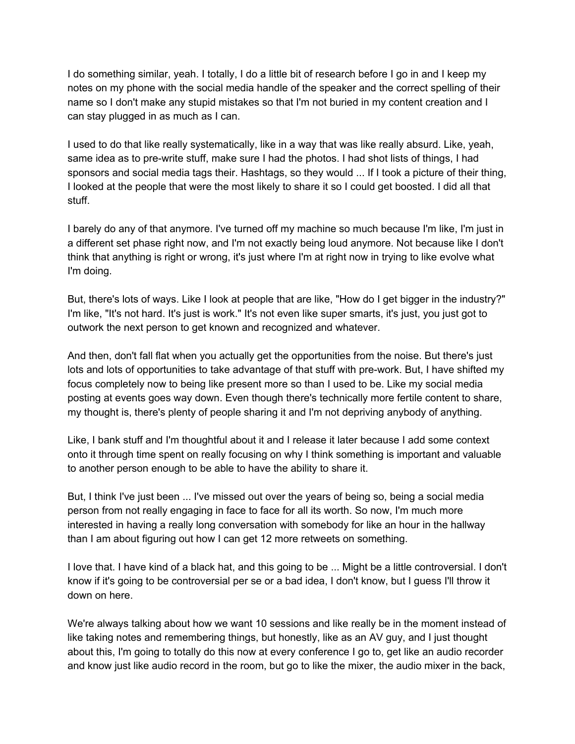I do something similar, yeah. I totally, I do a little bit of research before I go in and I keep my notes on my phone with the social media handle of the speaker and the correct spelling of their name so I don't make any stupid mistakes so that I'm not buried in my content creation and I can stay plugged in as much as I can.

I used to do that like really systematically, like in a way that was like really absurd. Like, yeah, same idea as to pre-write stuff, make sure I had the photos. I had shot lists of things, I had sponsors and social media tags their. Hashtags, so they would ... If I took a picture of their thing, I looked at the people that were the most likely to share it so I could get boosted. I did all that stuff.

I barely do any of that anymore. I've turned off my machine so much because I'm like, I'm just in a different set phase right now, and I'm not exactly being loud anymore. Not because like I don't think that anything is right or wrong, it's just where I'm at right now in trying to like evolve what I'm doing.

But, there's lots of ways. Like I look at people that are like, "How do I get bigger in the industry?" I'm like, "It's not hard. It's just is work." It's not even like super smarts, it's just, you just got to outwork the next person to get known and recognized and whatever.

And then, don't fall flat when you actually get the opportunities from the noise. But there's just lots and lots of opportunities to take advantage of that stuff with pre-work. But, I have shifted my focus completely now to being like present more so than I used to be. Like my social media posting at events goes way down. Even though there's technically more fertile content to share, my thought is, there's plenty of people sharing it and I'm not depriving anybody of anything.

Like, I bank stuff and I'm thoughtful about it and I release it later because I add some context onto it through time spent on really focusing on why I think something is important and valuable to another person enough to be able to have the ability to share it.

But, I think I've just been ... I've missed out over the years of being so, being a social media person from not really engaging in face to face for all its worth. So now, I'm much more interested in having a really long conversation with somebody for like an hour in the hallway than I am about figuring out how I can get 12 more retweets on something.

I love that. I have kind of a black hat, and this going to be ... Might be a little controversial. I don't know if it's going to be controversial per se or a bad idea, I don't know, but I guess I'll throw it down on here.

We're always talking about how we want 10 sessions and like really be in the moment instead of like taking notes and remembering things, but honestly, like as an AV guy, and I just thought about this, I'm going to totally do this now at every conference I go to, get like an audio recorder and know just like audio record in the room, but go to like the mixer, the audio mixer in the back,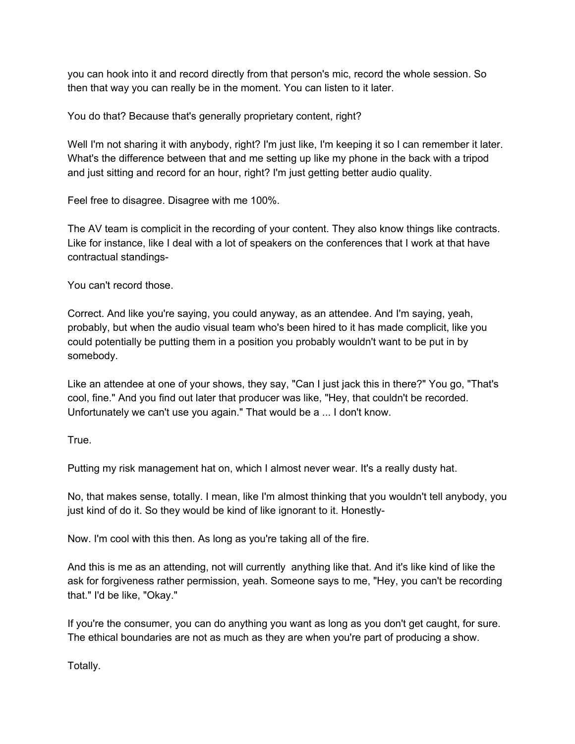you can hook into it and record directly from that person's mic, record the whole session. So then that way you can really be in the moment. You can listen to it later.

You do that? Because that's generally proprietary content, right?

Well I'm not sharing it with anybody, right? I'm just like, I'm keeping it so I can remember it later. What's the difference between that and me setting up like my phone in the back with a tripod and just sitting and record for an hour, right? I'm just getting better audio quality.

Feel free to disagree. Disagree with me 100%.

The AV team is complicit in the recording of your content. They also know things like contracts. Like for instance, like I deal with a lot of speakers on the conferences that I work at that have contractual standings-

You can't record those.

Correct. And like you're saying, you could anyway, as an attendee. And I'm saying, yeah, probably, but when the audio visual team who's been hired to it has made complicit, like you could potentially be putting them in a position you probably wouldn't want to be put in by somebody.

Like an attendee at one of your shows, they say, "Can I just jack this in there?" You go, "That's cool, fine." And you find out later that producer was like, "Hey, that couldn't be recorded. Unfortunately we can't use you again." That would be a ... I don't know.

True.

Putting my risk management hat on, which I almost never wear. It's a really dusty hat.

No, that makes sense, totally. I mean, like I'm almost thinking that you wouldn't tell anybody, you just kind of do it. So they would be kind of like ignorant to it. Honestly-

Now. I'm cool with this then. As long as you're taking all of the fire.

And this is me as an attending, not will currently anything like that. And it's like kind of like the ask for forgiveness rather permission, yeah. Someone says to me, "Hey, you can't be recording that." I'd be like, "Okay."

If you're the consumer, you can do anything you want as long as you don't get caught, for sure. The ethical boundaries are not as much as they are when you're part of producing a show.

Totally.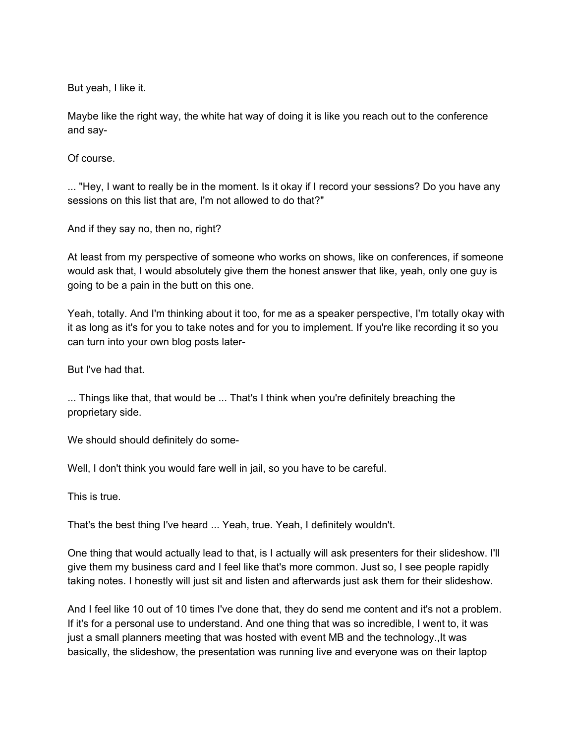But yeah, I like it.

Maybe like the right way, the white hat way of doing it is like you reach out to the conference and say-

Of course.

... "Hey, I want to really be in the moment. Is it okay if I record your sessions? Do you have any sessions on this list that are, I'm not allowed to do that?"

And if they say no, then no, right?

At least from my perspective of someone who works on shows, like on conferences, if someone would ask that, I would absolutely give them the honest answer that like, yeah, only one guy is going to be a pain in the butt on this one.

Yeah, totally. And I'm thinking about it too, for me as a speaker perspective, I'm totally okay with it as long as it's for you to take notes and for you to implement. If you're like recording it so you can turn into your own blog posts later-

But I've had that.

... Things like that, that would be ... That's I think when you're definitely breaching the proprietary side.

We should should definitely do some-

Well, I don't think you would fare well in jail, so you have to be careful.

This is true.

That's the best thing I've heard ... Yeah, true. Yeah, I definitely wouldn't.

One thing that would actually lead to that, is I actually will ask presenters for their slideshow. I'll give them my business card and I feel like that's more common. Just so, I see people rapidly taking notes. I honestly will just sit and listen and afterwards just ask them for their slideshow.

And I feel like 10 out of 10 times I've done that, they do send me content and it's not a problem. If it's for a personal use to understand. And one thing that was so incredible, I went to, it was just a small planners meeting that was hosted with event MB and the technology.,It was basically, the slideshow, the presentation was running live and everyone was on their laptop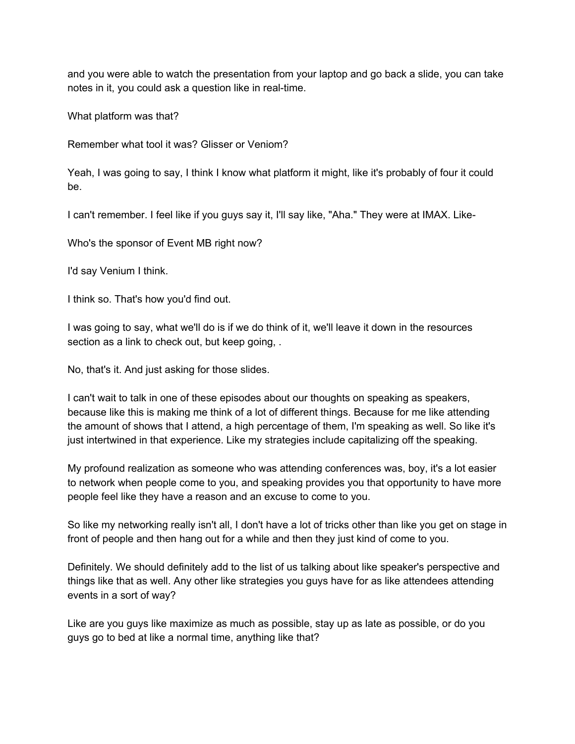and you were able to watch the presentation from your laptop and go back a slide, you can take notes in it, you could ask a question like in real-time.

What platform was that?

Remember what tool it was? Glisser or Veniom?

Yeah, I was going to say, I think I know what platform it might, like it's probably of four it could be.

I can't remember. I feel like if you guys say it, I'll say like, "Aha." They were at IMAX. Like-

Who's the sponsor of Event MB right now?

I'd say Venium I think.

I think so. That's how you'd find out.

I was going to say, what we'll do is if we do think of it, we'll leave it down in the resources section as a link to check out, but keep going, .

No, that's it. And just asking for those slides.

I can't wait to talk in one of these episodes about our thoughts on speaking as speakers, because like this is making me think of a lot of different things. Because for me like attending the amount of shows that I attend, a high percentage of them, I'm speaking as well. So like it's just intertwined in that experience. Like my strategies include capitalizing off the speaking.

My profound realization as someone who was attending conferences was, boy, it's a lot easier to network when people come to you, and speaking provides you that opportunity to have more people feel like they have a reason and an excuse to come to you.

So like my networking really isn't all, I don't have a lot of tricks other than like you get on stage in front of people and then hang out for a while and then they just kind of come to you.

Definitely. We should definitely add to the list of us talking about like speaker's perspective and things like that as well. Any other like strategies you guys have for as like attendees attending events in a sort of way?

Like are you guys like maximize as much as possible, stay up as late as possible, or do you guys go to bed at like a normal time, anything like that?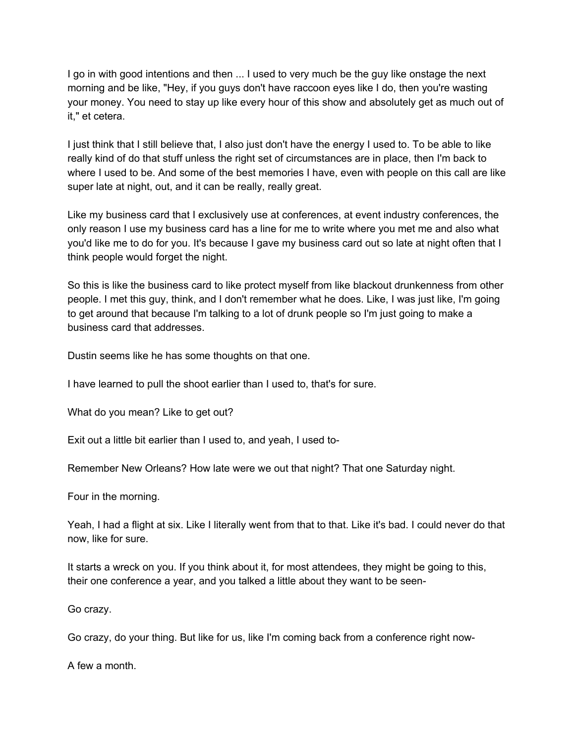I go in with good intentions and then ... I used to very much be the guy like onstage the next morning and be like, "Hey, if you guys don't have raccoon eyes like I do, then you're wasting your money. You need to stay up like every hour of this show and absolutely get as much out of it," et cetera.

I just think that I still believe that, I also just don't have the energy I used to. To be able to like really kind of do that stuff unless the right set of circumstances are in place, then I'm back to where I used to be. And some of the best memories I have, even with people on this call are like super late at night, out, and it can be really, really great.

Like my business card that I exclusively use at conferences, at event industry conferences, the only reason I use my business card has a line for me to write where you met me and also what you'd like me to do for you. It's because I gave my business card out so late at night often that I think people would forget the night.

So this is like the business card to like protect myself from like blackout drunkenness from other people. I met this guy, think, and I don't remember what he does. Like, I was just like, I'm going to get around that because I'm talking to a lot of drunk people so I'm just going to make a business card that addresses.

Dustin seems like he has some thoughts on that one.

I have learned to pull the shoot earlier than I used to, that's for sure.

What do you mean? Like to get out?

Exit out a little bit earlier than I used to, and yeah, I used to-

Remember New Orleans? How late were we out that night? That one Saturday night.

Four in the morning.

Yeah, I had a flight at six. Like I literally went from that to that. Like it's bad. I could never do that now, like for sure.

It starts a wreck on you. If you think about it, for most attendees, they might be going to this, their one conference a year, and you talked a little about they want to be seen-

Go crazy.

Go crazy, do your thing. But like for us, like I'm coming back from a conference right now-

A few a month.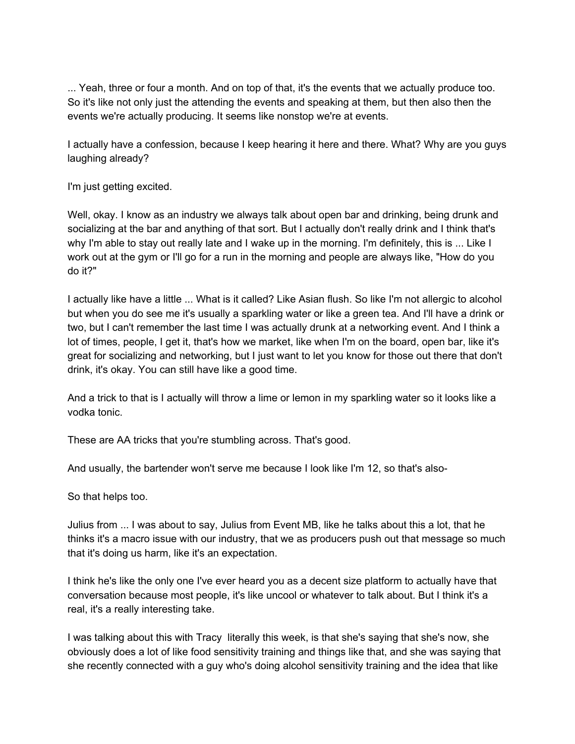... Yeah, three or four a month. And on top of that, it's the events that we actually produce too. So it's like not only just the attending the events and speaking at them, but then also then the events we're actually producing. It seems like nonstop we're at events.

I actually have a confession, because I keep hearing it here and there. What? Why are you guys laughing already?

I'm just getting excited.

Well, okay. I know as an industry we always talk about open bar and drinking, being drunk and socializing at the bar and anything of that sort. But I actually don't really drink and I think that's why I'm able to stay out really late and I wake up in the morning. I'm definitely, this is ... Like I work out at the gym or I'll go for a run in the morning and people are always like, "How do you do it?"

I actually like have a little ... What is it called? Like Asian flush. So like I'm not allergic to alcohol but when you do see me it's usually a sparkling water or like a green tea. And I'll have a drink or two, but I can't remember the last time I was actually drunk at a networking event. And I think a lot of times, people, I get it, that's how we market, like when I'm on the board, open bar, like it's great for socializing and networking, but I just want to let you know for those out there that don't drink, it's okay. You can still have like a good time.

And a trick to that is I actually will throw a lime or lemon in my sparkling water so it looks like a vodka tonic.

These are AA tricks that you're stumbling across. That's good.

And usually, the bartender won't serve me because I look like I'm 12, so that's also-

So that helps too.

Julius from ... I was about to say, Julius from Event MB, like he talks about this a lot, that he thinks it's a macro issue with our industry, that we as producers push out that message so much that it's doing us harm, like it's an expectation.

I think he's like the only one I've ever heard you as a decent size platform to actually have that conversation because most people, it's like uncool or whatever to talk about. But I think it's a real, it's a really interesting take.

I was talking about this with Tracy literally this week, is that she's saying that she's now, she obviously does a lot of like food sensitivity training and things like that, and she was saying that she recently connected with a guy who's doing alcohol sensitivity training and the idea that like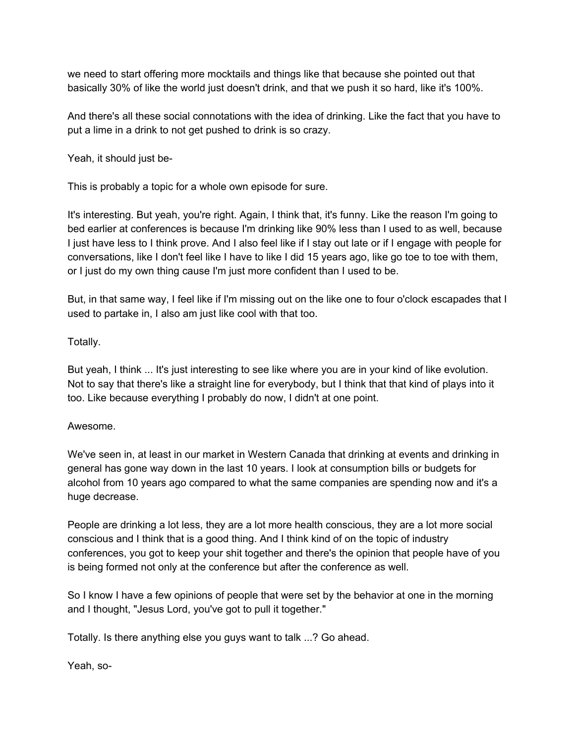we need to start offering more mocktails and things like that because she pointed out that basically 30% of like the world just doesn't drink, and that we push it so hard, like it's 100%.

And there's all these social connotations with the idea of drinking. Like the fact that you have to put a lime in a drink to not get pushed to drink is so crazy.

Yeah, it should just be-

This is probably a topic for a whole own episode for sure.

It's interesting. But yeah, you're right. Again, I think that, it's funny. Like the reason I'm going to bed earlier at conferences is because I'm drinking like 90% less than I used to as well, because I just have less to I think prove. And I also feel like if I stay out late or if I engage with people for conversations, like I don't feel like I have to like I did 15 years ago, like go toe to toe with them, or I just do my own thing cause I'm just more confident than I used to be.

But, in that same way, I feel like if I'm missing out on the like one to four o'clock escapades that I used to partake in, I also am just like cool with that too.

## Totally.

But yeah, I think ... It's just interesting to see like where you are in your kind of like evolution. Not to say that there's like a straight line for everybody, but I think that that kind of plays into it too. Like because everything I probably do now, I didn't at one point.

## Awesome.

We've seen in, at least in our market in Western Canada that drinking at events and drinking in general has gone way down in the last 10 years. I look at consumption bills or budgets for alcohol from 10 years ago compared to what the same companies are spending now and it's a huge decrease.

People are drinking a lot less, they are a lot more health conscious, they are a lot more social conscious and I think that is a good thing. And I think kind of on the topic of industry conferences, you got to keep your shit together and there's the opinion that people have of you is being formed not only at the conference but after the conference as well.

So I know I have a few opinions of people that were set by the behavior at one in the morning and I thought, "Jesus Lord, you've got to pull it together."

Totally. Is there anything else you guys want to talk ...? Go ahead.

Yeah, so-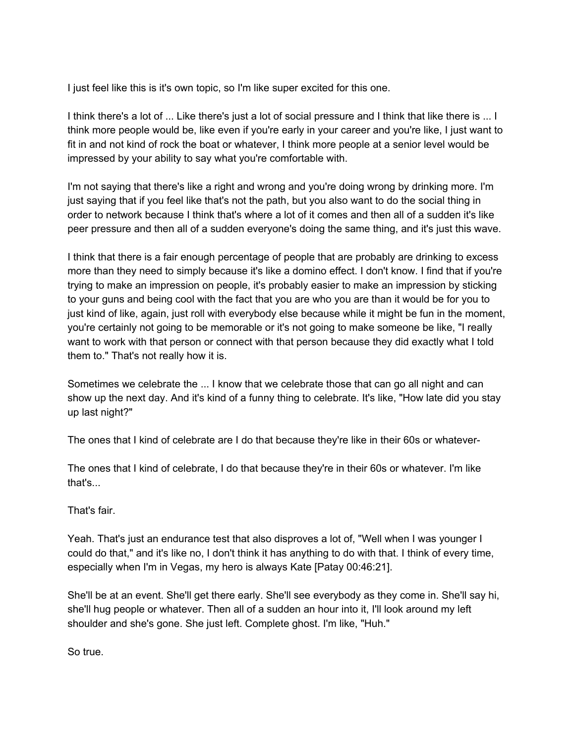I just feel like this is it's own topic, so I'm like super excited for this one.

I think there's a lot of ... Like there's just a lot of social pressure and I think that like there is ... I think more people would be, like even if you're early in your career and you're like, I just want to fit in and not kind of rock the boat or whatever, I think more people at a senior level would be impressed by your ability to say what you're comfortable with.

I'm not saying that there's like a right and wrong and you're doing wrong by drinking more. I'm just saying that if you feel like that's not the path, but you also want to do the social thing in order to network because I think that's where a lot of it comes and then all of a sudden it's like peer pressure and then all of a sudden everyone's doing the same thing, and it's just this wave.

I think that there is a fair enough percentage of people that are probably are drinking to excess more than they need to simply because it's like a domino effect. I don't know. I find that if you're trying to make an impression on people, it's probably easier to make an impression by sticking to your guns and being cool with the fact that you are who you are than it would be for you to just kind of like, again, just roll with everybody else because while it might be fun in the moment, you're certainly not going to be memorable or it's not going to make someone be like, "I really want to work with that person or connect with that person because they did exactly what I told them to." That's not really how it is.

Sometimes we celebrate the ... I know that we celebrate those that can go all night and can show up the next day. And it's kind of a funny thing to celebrate. It's like, "How late did you stay up last night?"

The ones that I kind of celebrate are I do that because they're like in their 60s or whatever-

The ones that I kind of celebrate, I do that because they're in their 60s or whatever. I'm like that's...

That's fair.

Yeah. That's just an endurance test that also disproves a lot of, "Well when I was younger I could do that," and it's like no, I don't think it has anything to do with that. I think of every time, especially when I'm in Vegas, my hero is always Kate [Patay 00:46:21].

She'll be at an event. She'll get there early. She'll see everybody as they come in. She'll say hi, she'll hug people or whatever. Then all of a sudden an hour into it, I'll look around my left shoulder and she's gone. She just left. Complete ghost. I'm like, "Huh."

So true.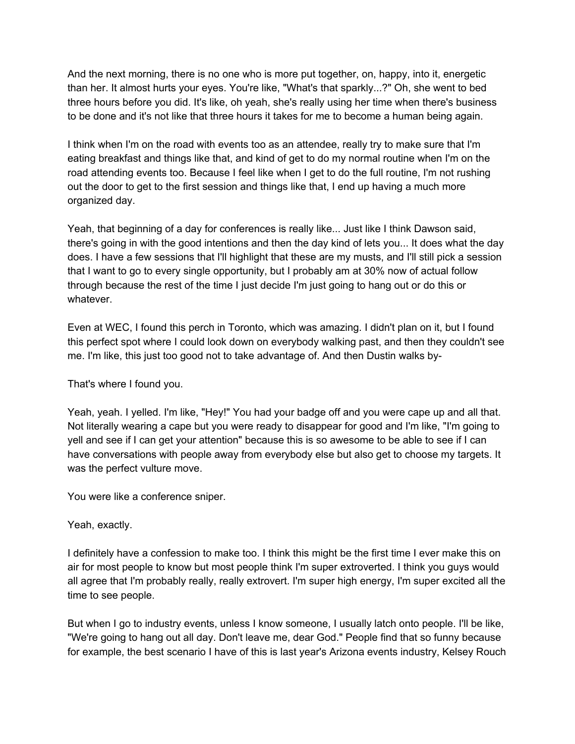And the next morning, there is no one who is more put together, on, happy, into it, energetic than her. It almost hurts your eyes. You're like, "What's that sparkly...?" Oh, she went to bed three hours before you did. It's like, oh yeah, she's really using her time when there's business to be done and it's not like that three hours it takes for me to become a human being again.

I think when I'm on the road with events too as an attendee, really try to make sure that I'm eating breakfast and things like that, and kind of get to do my normal routine when I'm on the road attending events too. Because I feel like when I get to do the full routine, I'm not rushing out the door to get to the first session and things like that, I end up having a much more organized day.

Yeah, that beginning of a day for conferences is really like... Just like I think Dawson said, there's going in with the good intentions and then the day kind of lets you... It does what the day does. I have a few sessions that I'll highlight that these are my musts, and I'll still pick a session that I want to go to every single opportunity, but I probably am at 30% now of actual follow through because the rest of the time I just decide I'm just going to hang out or do this or whatever.

Even at WEC, I found this perch in Toronto, which was amazing. I didn't plan on it, but I found this perfect spot where I could look down on everybody walking past, and then they couldn't see me. I'm like, this just too good not to take advantage of. And then Dustin walks by-

That's where I found you.

Yeah, yeah. I yelled. I'm like, "Hey!" You had your badge off and you were cape up and all that. Not literally wearing a cape but you were ready to disappear for good and I'm like, "I'm going to yell and see if I can get your attention" because this is so awesome to be able to see if I can have conversations with people away from everybody else but also get to choose my targets. It was the perfect vulture move.

You were like a conference sniper.

Yeah, exactly.

I definitely have a confession to make too. I think this might be the first time I ever make this on air for most people to know but most people think I'm super extroverted. I think you guys would all agree that I'm probably really, really extrovert. I'm super high energy, I'm super excited all the time to see people.

But when I go to industry events, unless I know someone, I usually latch onto people. I'll be like, "We're going to hang out all day. Don't leave me, dear God." People find that so funny because for example, the best scenario I have of this is last year's Arizona events industry, Kelsey Rouch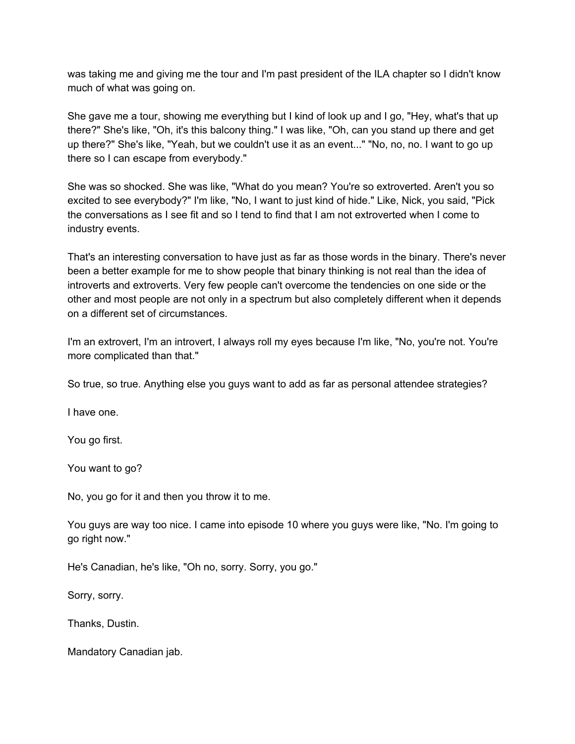was taking me and giving me the tour and I'm past president of the ILA chapter so I didn't know much of what was going on.

She gave me a tour, showing me everything but I kind of look up and I go, "Hey, what's that up there?" She's like, "Oh, it's this balcony thing." I was like, "Oh, can you stand up there and get up there?" She's like, "Yeah, but we couldn't use it as an event..." "No, no, no. I want to go up there so I can escape from everybody."

She was so shocked. She was like, "What do you mean? You're so extroverted. Aren't you so excited to see everybody?" I'm like, "No, I want to just kind of hide." Like, Nick, you said, "Pick the conversations as I see fit and so I tend to find that I am not extroverted when I come to industry events.

That's an interesting conversation to have just as far as those words in the binary. There's never been a better example for me to show people that binary thinking is not real than the idea of introverts and extroverts. Very few people can't overcome the tendencies on one side or the other and most people are not only in a spectrum but also completely different when it depends on a different set of circumstances.

I'm an extrovert, I'm an introvert, I always roll my eyes because I'm like, "No, you're not. You're more complicated than that."

So true, so true. Anything else you guys want to add as far as personal attendee strategies?

I have one.

You go first.

You want to go?

No, you go for it and then you throw it to me.

You guys are way too nice. I came into episode 10 where you guys were like, "No. I'm going to go right now."

He's Canadian, he's like, "Oh no, sorry. Sorry, you go."

Sorry, sorry.

Thanks, Dustin.

Mandatory Canadian jab.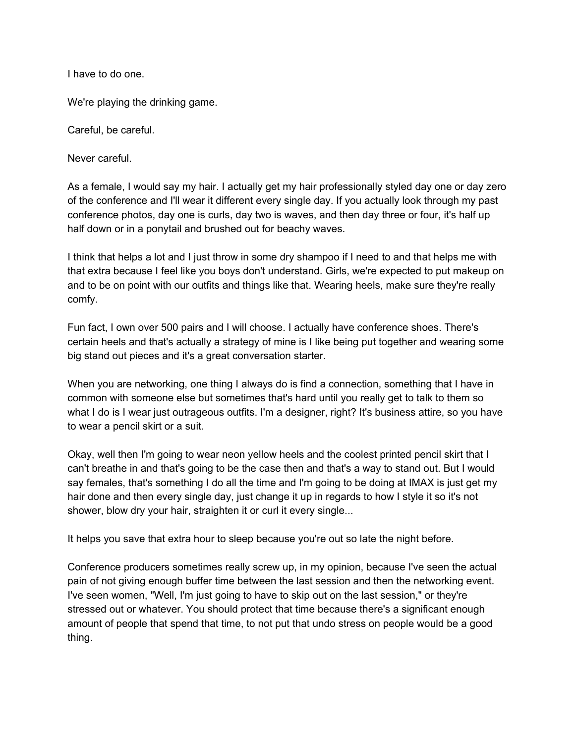I have to do one.

We're playing the drinking game.

Careful, be careful.

Never careful.

As a female, I would say my hair. I actually get my hair professionally styled day one or day zero of the conference and I'll wear it different every single day. If you actually look through my past conference photos, day one is curls, day two is waves, and then day three or four, it's half up half down or in a ponytail and brushed out for beachy waves.

I think that helps a lot and I just throw in some dry shampoo if I need to and that helps me with that extra because I feel like you boys don't understand. Girls, we're expected to put makeup on and to be on point with our outfits and things like that. Wearing heels, make sure they're really comfy.

Fun fact, I own over 500 pairs and I will choose. I actually have conference shoes. There's certain heels and that's actually a strategy of mine is I like being put together and wearing some big stand out pieces and it's a great conversation starter.

When you are networking, one thing I always do is find a connection, something that I have in common with someone else but sometimes that's hard until you really get to talk to them so what I do is I wear just outrageous outfits. I'm a designer, right? It's business attire, so you have to wear a pencil skirt or a suit.

Okay, well then I'm going to wear neon yellow heels and the coolest printed pencil skirt that I can't breathe in and that's going to be the case then and that's a way to stand out. But I would say females, that's something I do all the time and I'm going to be doing at IMAX is just get my hair done and then every single day, just change it up in regards to how I style it so it's not shower, blow dry your hair, straighten it or curl it every single...

It helps you save that extra hour to sleep because you're out so late the night before.

Conference producers sometimes really screw up, in my opinion, because I've seen the actual pain of not giving enough buffer time between the last session and then the networking event. I've seen women, "Well, I'm just going to have to skip out on the last session," or they're stressed out or whatever. You should protect that time because there's a significant enough amount of people that spend that time, to not put that undo stress on people would be a good thing.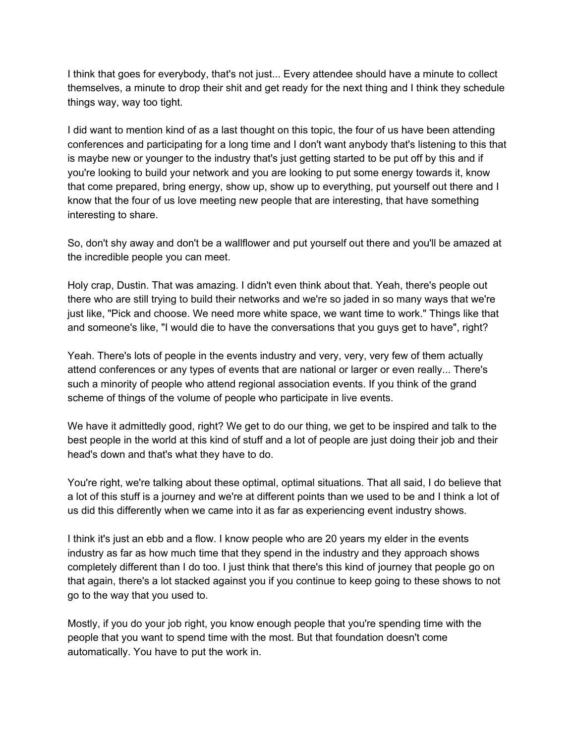I think that goes for everybody, that's not just... Every attendee should have a minute to collect themselves, a minute to drop their shit and get ready for the next thing and I think they schedule things way, way too tight.

I did want to mention kind of as a last thought on this topic, the four of us have been attending conferences and participating for a long time and I don't want anybody that's listening to this that is maybe new or younger to the industry that's just getting started to be put off by this and if you're looking to build your network and you are looking to put some energy towards it, know that come prepared, bring energy, show up, show up to everything, put yourself out there and I know that the four of us love meeting new people that are interesting, that have something interesting to share.

So, don't shy away and don't be a wallflower and put yourself out there and you'll be amazed at the incredible people you can meet.

Holy crap, Dustin. That was amazing. I didn't even think about that. Yeah, there's people out there who are still trying to build their networks and we're so jaded in so many ways that we're just like, "Pick and choose. We need more white space, we want time to work." Things like that and someone's like, "I would die to have the conversations that you guys get to have", right?

Yeah. There's lots of people in the events industry and very, very, very few of them actually attend conferences or any types of events that are national or larger or even really... There's such a minority of people who attend regional association events. If you think of the grand scheme of things of the volume of people who participate in live events.

We have it admittedly good, right? We get to do our thing, we get to be inspired and talk to the best people in the world at this kind of stuff and a lot of people are just doing their job and their head's down and that's what they have to do.

You're right, we're talking about these optimal, optimal situations. That all said, I do believe that a lot of this stuff is a journey and we're at different points than we used to be and I think a lot of us did this differently when we came into it as far as experiencing event industry shows.

I think it's just an ebb and a flow. I know people who are 20 years my elder in the events industry as far as how much time that they spend in the industry and they approach shows completely different than I do too. I just think that there's this kind of journey that people go on that again, there's a lot stacked against you if you continue to keep going to these shows to not go to the way that you used to.

Mostly, if you do your job right, you know enough people that you're spending time with the people that you want to spend time with the most. But that foundation doesn't come automatically. You have to put the work in.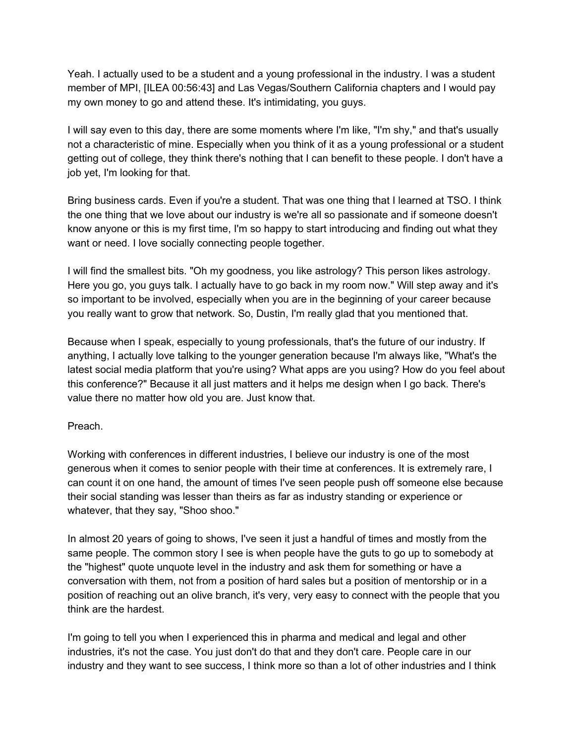Yeah. I actually used to be a student and a young professional in the industry. I was a student member of MPI, [ILEA 00:56:43] and Las Vegas/Southern California chapters and I would pay my own money to go and attend these. It's intimidating, you guys.

I will say even to this day, there are some moments where I'm like, "I'm shy," and that's usually not a characteristic of mine. Especially when you think of it as a young professional or a student getting out of college, they think there's nothing that I can benefit to these people. I don't have a job yet, I'm looking for that.

Bring business cards. Even if you're a student. That was one thing that I learned at TSO. I think the one thing that we love about our industry is we're all so passionate and if someone doesn't know anyone or this is my first time, I'm so happy to start introducing and finding out what they want or need. I love socially connecting people together.

I will find the smallest bits. "Oh my goodness, you like astrology? This person likes astrology. Here you go, you guys talk. I actually have to go back in my room now." Will step away and it's so important to be involved, especially when you are in the beginning of your career because you really want to grow that network. So, Dustin, I'm really glad that you mentioned that.

Because when I speak, especially to young professionals, that's the future of our industry. If anything, I actually love talking to the younger generation because I'm always like, "What's the latest social media platform that you're using? What apps are you using? How do you feel about this conference?" Because it all just matters and it helps me design when I go back. There's value there no matter how old you are. Just know that.

### Preach.

Working with conferences in different industries, I believe our industry is one of the most generous when it comes to senior people with their time at conferences. It is extremely rare, I can count it on one hand, the amount of times I've seen people push off someone else because their social standing was lesser than theirs as far as industry standing or experience or whatever, that they say, "Shoo shoo."

In almost 20 years of going to shows, I've seen it just a handful of times and mostly from the same people. The common story I see is when people have the guts to go up to somebody at the "highest" quote unquote level in the industry and ask them for something or have a conversation with them, not from a position of hard sales but a position of mentorship or in a position of reaching out an olive branch, it's very, very easy to connect with the people that you think are the hardest.

I'm going to tell you when I experienced this in pharma and medical and legal and other industries, it's not the case. You just don't do that and they don't care. People care in our industry and they want to see success, I think more so than a lot of other industries and I think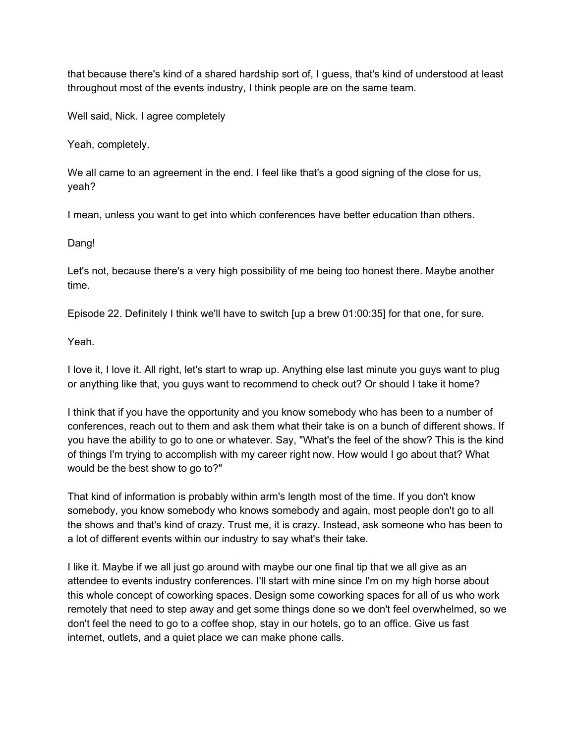that because there's kind of a shared hardship sort of, I guess, that's kind of understood at least throughout most of the events industry, I think people are on the same team.

Well said, Nick. I agree completely

Yeah, completely.

We all came to an agreement in the end. I feel like that's a good signing of the close for us, yeah?

I mean, unless you want to get into which conferences have better education than others.

Dang!

Let's not, because there's a very high possibility of me being too honest there. Maybe another time.

Episode 22. Definitely I think we'll have to switch [up a brew 01:00:35] for that one, for sure.

Yeah.

I love it, I love it. All right, let's start to wrap up. Anything else last minute you guys want to plug or anything like that, you guys want to recommend to check out? Or should I take it home?

I think that if you have the opportunity and you know somebody who has been to a number of conferences, reach out to them and ask them what their take is on a bunch of different shows. If you have the ability to go to one or whatever. Say, "What's the feel of the show? This is the kind of things I'm trying to accomplish with my career right now. How would I go about that? What would be the best show to go to?"

That kind of information is probably within arm's length most of the time. If you don't know somebody, you know somebody who knows somebody and again, most people don't go to all the shows and that's kind of crazy. Trust me, it is crazy. Instead, ask someone who has been to a lot of different events within our industry to say what's their take.

I like it. Maybe if we all just go around with maybe our one final tip that we all give as an attendee to events industry conferences. I'll start with mine since I'm on my high horse about this whole concept of coworking spaces. Design some coworking spaces for all of us who work remotely that need to step away and get some things done so we don't feel overwhelmed, so we don't feel the need to go to a coffee shop, stay in our hotels, go to an office. Give us fast internet, outlets, and a quiet place we can make phone calls.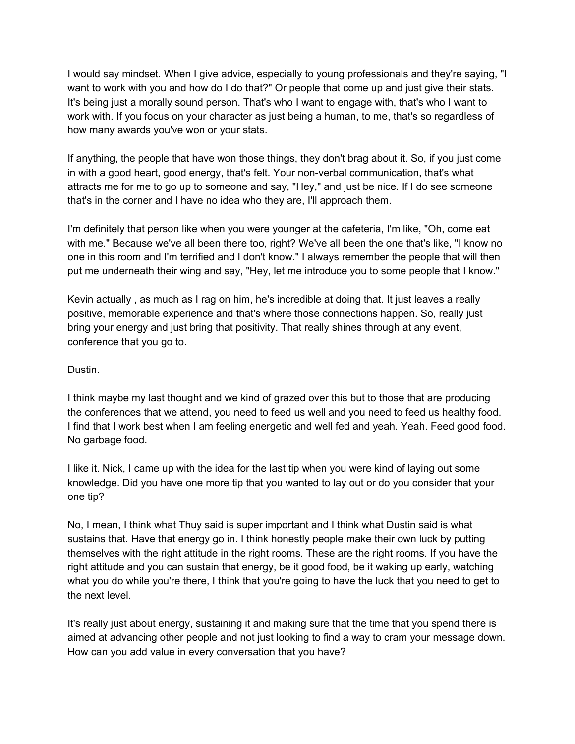I would say mindset. When I give advice, especially to young professionals and they're saying, "I want to work with you and how do I do that?" Or people that come up and just give their stats. It's being just a morally sound person. That's who I want to engage with, that's who I want to work with. If you focus on your character as just being a human, to me, that's so regardless of how many awards you've won or your stats.

If anything, the people that have won those things, they don't brag about it. So, if you just come in with a good heart, good energy, that's felt. Your non-verbal communication, that's what attracts me for me to go up to someone and say, "Hey," and just be nice. If I do see someone that's in the corner and I have no idea who they are, I'll approach them.

I'm definitely that person like when you were younger at the cafeteria, I'm like, "Oh, come eat with me." Because we've all been there too, right? We've all been the one that's like, "I know no one in this room and I'm terrified and I don't know." I always remember the people that will then put me underneath their wing and say, "Hey, let me introduce you to some people that I know."

Kevin actually , as much as I rag on him, he's incredible at doing that. It just leaves a really positive, memorable experience and that's where those connections happen. So, really just bring your energy and just bring that positivity. That really shines through at any event, conference that you go to.

## Dustin.

I think maybe my last thought and we kind of grazed over this but to those that are producing the conferences that we attend, you need to feed us well and you need to feed us healthy food. I find that I work best when I am feeling energetic and well fed and yeah. Yeah. Feed good food. No garbage food.

I like it. Nick, I came up with the idea for the last tip when you were kind of laying out some knowledge. Did you have one more tip that you wanted to lay out or do you consider that your one tip?

No, I mean, I think what Thuy said is super important and I think what Dustin said is what sustains that. Have that energy go in. I think honestly people make their own luck by putting themselves with the right attitude in the right rooms. These are the right rooms. If you have the right attitude and you can sustain that energy, be it good food, be it waking up early, watching what you do while you're there, I think that you're going to have the luck that you need to get to the next level.

It's really just about energy, sustaining it and making sure that the time that you spend there is aimed at advancing other people and not just looking to find a way to cram your message down. How can you add value in every conversation that you have?